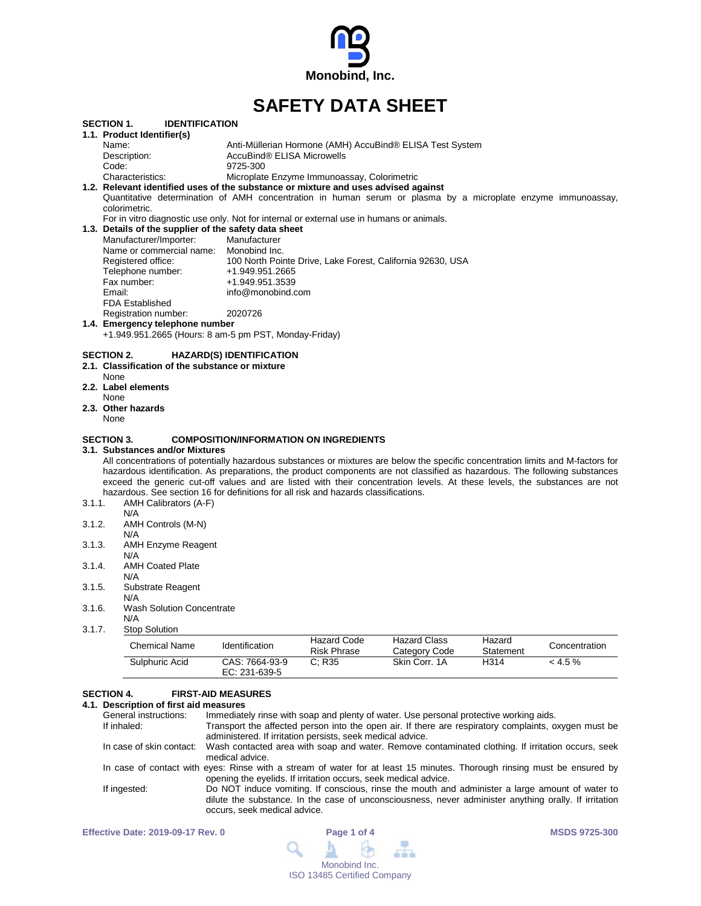

# **SAFETY DATA SHEET**

|        | <b>SECTION 1.</b><br><b>IDENTIFICATION</b>            |                                                                                                                                  |
|--------|-------------------------------------------------------|----------------------------------------------------------------------------------------------------------------------------------|
|        | 1.1. Product Identifier(s)                            |                                                                                                                                  |
|        | Name:                                                 | Anti-Müllerian Hormone (AMH) AccuBind® ELISA Test System                                                                         |
|        | Description:                                          | AccuBind® ELISA Microwells                                                                                                       |
|        | Code:                                                 | 9725-300                                                                                                                         |
|        | Characteristics:                                      | Microplate Enzyme Immunoassay, Colorimetric                                                                                      |
|        |                                                       | 1.2. Relevant identified uses of the substance or mixture and uses advised against                                               |
|        |                                                       | Quantitative determination of AMH concentration in human serum or plasma by a microplate enzyme immunoassay,                     |
|        | colorimetric.                                         |                                                                                                                                  |
|        |                                                       | For in vitro diagnostic use only. Not for internal or external use in humans or animals.                                         |
|        | 1.3. Details of the supplier of the safety data sheet |                                                                                                                                  |
|        | Manufacturer/Importer:                                | Manufacturer                                                                                                                     |
|        | Name or commercial name:                              | Monobind Inc.                                                                                                                    |
|        | Registered office:                                    | 100 North Pointe Drive, Lake Forest, California 92630, USA                                                                       |
|        | Telephone number:                                     | +1.949.951.2665                                                                                                                  |
|        | Fax number:                                           | +1.949.951.3539                                                                                                                  |
|        | Email:                                                | info@monobind.com                                                                                                                |
|        | <b>FDA Established</b>                                |                                                                                                                                  |
|        |                                                       |                                                                                                                                  |
|        | Registration number:                                  | 2020726                                                                                                                          |
|        | 1.4. Emergency telephone number                       |                                                                                                                                  |
|        | +1.949.951.2665 (Hours: 8 am-5 pm PST, Monday-Friday) |                                                                                                                                  |
|        | <b>SECTION 2.</b>                                     | <b>HAZARD(S) IDENTIFICATION</b>                                                                                                  |
|        | 2.1. Classification of the substance or mixture       |                                                                                                                                  |
|        |                                                       |                                                                                                                                  |
|        | None                                                  |                                                                                                                                  |
|        | 2.2. Label elements                                   |                                                                                                                                  |
|        | None                                                  |                                                                                                                                  |
|        | 2.3. Other hazards                                    |                                                                                                                                  |
|        | None                                                  |                                                                                                                                  |
|        | <b>SECTION 3.</b>                                     | <b>COMPOSITION/INFORMATION ON INGREDIENTS</b>                                                                                    |
|        |                                                       |                                                                                                                                  |
|        | 3.1. Substances and/or Mixtures                       |                                                                                                                                  |
|        |                                                       | All concentrations of potentially hazardous substances or mixtures are below the specific concentration limits and M-factors for |
|        |                                                       | hazardous identification. As preparations, the product components are not classified as hazardous. The following substances      |
|        |                                                       | exceed the generic cut-off values and are listed with their concentration levels. At these levels, the substances are not        |
|        |                                                       | hazardous. See section 16 for definitions for all risk and hazards classifications.                                              |
| 3.1.1. | AMH Calibrators (A-F)                                 |                                                                                                                                  |
|        | N/A                                                   |                                                                                                                                  |
| 3.1.2. | AMH Controls (M-N)                                    |                                                                                                                                  |
|        | N/A                                                   |                                                                                                                                  |
| 3.1.3. | AMH Enzyme Reagent                                    |                                                                                                                                  |
|        | N/A                                                   |                                                                                                                                  |
| 3.1.4. | <b>AMH Coated Plate</b>                               |                                                                                                                                  |
|        | N/A                                                   |                                                                                                                                  |
| 3.1.5. | Substrate Reagent                                     |                                                                                                                                  |
|        | N/A                                                   |                                                                                                                                  |
| 3.1.6. | <b>Wash Solution Concentrate</b>                      |                                                                                                                                  |
|        | N/A                                                   |                                                                                                                                  |
| 3.1.7. | <b>Stop Solution</b>                                  |                                                                                                                                  |
|        |                                                       |                                                                                                                                  |

| Chemical Name  | Identification                    | Hazard Code<br><b>Risk Phrase</b> | Hazard Class<br>Category Code | Hazard<br>Statement | Concentration |
|----------------|-----------------------------------|-----------------------------------|-------------------------------|---------------------|---------------|
| Sulphuric Acid | CAS: 7664-93-9<br>EC: $231-639-5$ | $\degree$ : R35                   | Skin Corr. 1A                 | H314                | $< 4.5 \%$    |

### **SECTION 4. FIRST-AID MEASURES**

### **4.1. Description of first aid measures**

| General instructions: | Immediately rinse with soap and plenty of water. Use personal protective working aids.                                     |
|-----------------------|----------------------------------------------------------------------------------------------------------------------------|
| If inhaled:           | Transport the affected person into the open air. If there are respiratory complaints, oxygen must be                       |
|                       | administered. If irritation persists, seek medical advice.                                                                 |
|                       | In case of skin contact: Wash contacted area with soap and water. Remove contaminated clothing. If irritation occurs, seek |
|                       | medical advice.                                                                                                            |
|                       | In case of contact with eyes: Rinse with a stream of water for at least 15 minutes. Thorough rinsing must be ensured by    |
|                       | opening the eyelids. If irritation occurs, seek medical advice.                                                            |
| If ingested:          | Do NOT induce vomiting. If conscious, rinse the mouth and administer a large amount of water to                            |
|                       | dilute the substance. In the case of unconsciousness, never administer anything orally. If irritation                      |
|                       | occurs, seek medical advice.                                                                                               |
|                       |                                                                                                                            |

| <b>Effective Date: 2019-09-17 Rev. 0</b> | Page 1 of 4                        | <b>MSDS 9725-300</b> |
|------------------------------------------|------------------------------------|----------------------|
|                                          | $Q \perp \emptyset \perp$          |                      |
|                                          | Monobind Inc.                      |                      |
|                                          | <b>ISO 13485 Certified Company</b> |                      |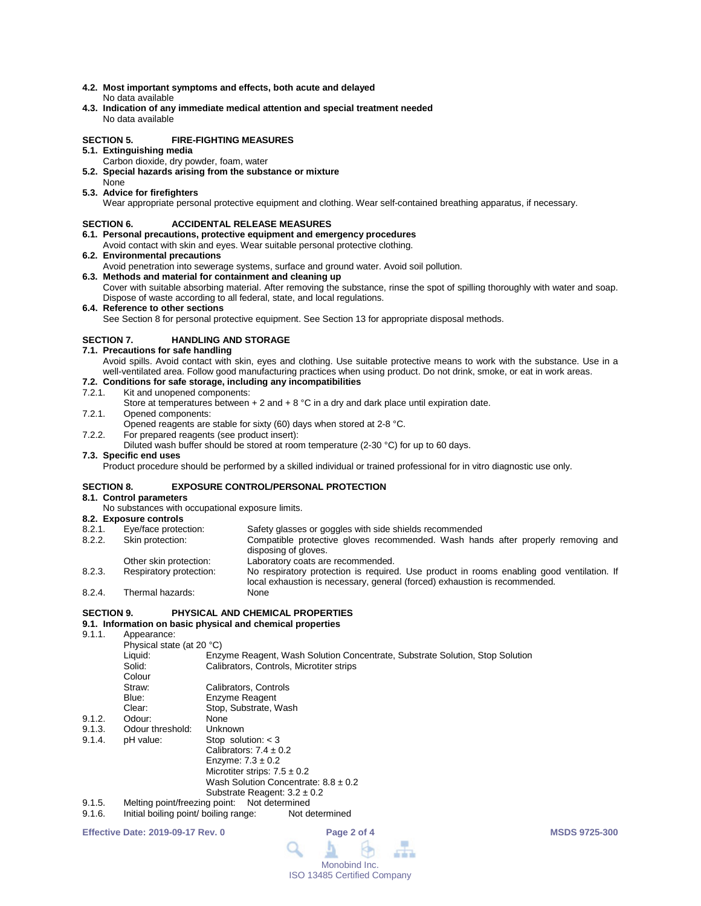- **4.2. Most important symptoms and effects, both acute and delayed** No data available
- **4.3. Indication of any immediate medical attention and special treatment needed** No data available

### **SECTION 5. FIRE-FIGHTING MEASURES**

- **5.1. Extinguishing media**
	- Carbon dioxide, dry powder, foam, water
- **5.2. Special hazards arising from the substance or mixture** None
- **5.3. Advice for firefighters**

Wear appropriate personal protective equipment and clothing. Wear self-contained breathing apparatus, if necessary.

### **SECTION 6. ACCIDENTAL RELEASE MEASURES**

- **6.1. Personal precautions, protective equipment and emergency procedures**
- Avoid contact with skin and eyes. Wear suitable personal protective clothing.
- **6.2. Environmental precautions**
	- Avoid penetration into sewerage systems, surface and ground water. Avoid soil pollution.
- **6.3. Methods and material for containment and cleaning up** Cover with suitable absorbing material. After removing the substance, rinse the spot of spilling thoroughly with water and soap. Dispose of waste according to all federal, state, and local regulations.
- **6.4. Reference to other sections**

See Section 8 for personal protective equipment. See Section 13 for appropriate disposal methods.

### **SECTION 7. HANDLING AND STORAGE**

**7.1. Precautions for safe handling**

Avoid spills. Avoid contact with skin, eyes and clothing. Use suitable protective means to work with the substance. Use in a well-ventilated area. Follow good manufacturing practices when using product. Do not drink, smoke, or eat in work areas.

### **7.2. Conditions for safe storage, including any incompatibilities**

### 7.2.1. Kit and unopened components:

- Store at temperatures between  $+ 2$  and  $+ 8$  °C in a dry and dark place until expiration date.
- 7.2.1. Opened components:
- Opened reagents are stable for sixty (60) days when stored at 2-8 °C.
- 7.2.2. For prepared reagents (see product insert):
	- Diluted wash buffer should be stored at room temperature (2-30 °C) for up to 60 days.

### **7.3. Specific end uses**

Product procedure should be performed by a skilled individual or trained professional for in vitro diagnostic use only.

### **SECTION 8. EXPOSURE CONTROL/PERSONAL PROTECTION**

### **8.1. Control parameters**

- No substances with occupational exposure limits.
- 
- **8.2. Exposure controls** 8.2.1. Eye/face protection: Safety glasses or goggles with side shields recommended<br>8.2.2. Skin protection: Compatible protective gloves recommended. Wash han Compatible protective gloves recommended. Wash hands after properly removing and disposing of gloves.
- 
- Other skin protection:<br>
Respiratory protection: 
No respiratory protection is required 8.2.3. Respiratory protection: No respiratory protection is required. Use product in rooms enabling good ventilation. If local exhaustion is necessary, general (forced) exhaustion is recommended. 8.2.4. Thermal hazards:

### **SECTION 9. PHYSICAL AND CHEMICAL PROPERTIES**

## **9.1. Information on basic physical and chemical properties**

- Appearance: Physical state (at 20 °C) Liquid: Enzyme Reagent, Wash Solution Concentrate, Substrate Solution, Stop Solution Calibrators, Controls, Microtiter strips Colour<br>Straw: Straw: Calibrators, Controls<br>
Blue: Frigge Forme Readent **Blue:** Enzyme Reagent<br>Clear: Stop Substrate V Stop, Substrate, Wash 9.1.2. Odour: None<br>9.1.3. Odour threshold: Unknown 9.1.3. Odour threshold:<br>9.1.4. pH value: pH value: Stop solution: < 3 Calibrators:  $7.4 \pm 0.2$ Enzyme:  $7.3 \pm 0.2$ Microtiter strips:  $7.5 \pm 0.2$ Wash Solution Concentrate:  $8.8 \pm 0.2$ Substrate Reagent:  $3.2 \pm 0.2$ 9.1.5. Melting point/freezing point: Not determined<br>9.1.6. Initial boiling point/ boiling range: Not determined
- Initial boiling point/ boiling range:

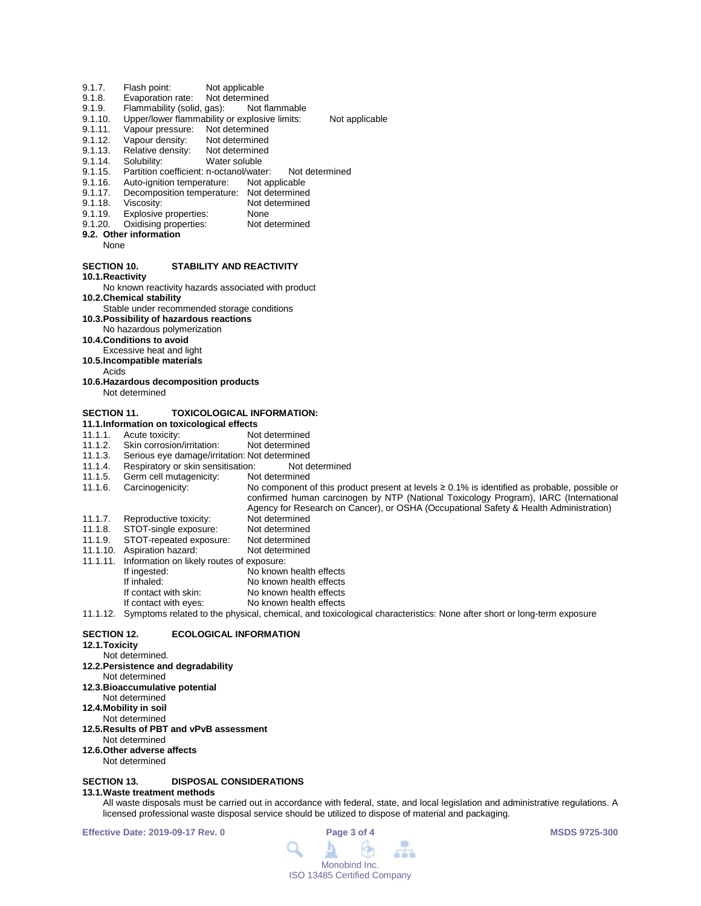- 9.1.7. Flash point: Not applicable<br>9.1.8. Evaporation rate: Not determined
- 9.1.8. Evaporation rate: Not determined<br>9.1.9. Flammability (solid, gas): Not flammable
- 9.1.9. Flammability (solid, gas):<br>9.1.10. Upper/lower flammability
- 9.1.10. Upper/lower flammability or explosive limits: Not applicable<br>9.1.11. Vapour pressure: Not determined
- 9.1.11. Vapour pressure: Not determined<br>9.1.12. Vapour density: Not determined
- 9.1.12. Vapour density: Not determined<br>9.1.13. Relative density: Not determined
- 9.1.13. Relative density:<br>9.1.14. Solubility:
- 9.1.14. Solubility: Water soluble<br>9.1.15. Partition coefficient: n-octanol/wate
- 9.1.15. Partition coefficient: n-octanol/water: Not determined<br>9.1.16. Auto-ignition temperature: Not applicable
- Auto-ignition temperature:
- 9.1.17. Decomposition temperature: Not determined<br>9.1.18. Viscosity: Not determined
- 9.1.18. Viscosity: Not determined<br>9.1.19. Explosive properties: None
- 9.1.19. Explosive properties: None<br>9.1.20. Oxidising properties: Not determined Oxidising properties:
- **9.2. Other information**
	- None
- **SECTION 10. STABILITY AND REACTIVITY**
- **10.1.Reactivity**

- No known reactivity hazards associated with product
- **10.2.Chemical stability**
- Stable under recommended storage conditions
- **10.3.Possibility of hazardous reactions**
- No hazardous polymerization
- **10.4.Conditions to avoid**
- Excessive heat and light
- **10.5.Incompatible materials**
	- Acids
- **10.6.Hazardous decomposition products** Not determined

### **SECTION 11. TOXICOLOGICAL INFORMATION:**

- **11.1.Information on toxicological effects**
- 11.1.1. Acute toxicity: Not determined<br>11.1.2. Skin corrosion/irritation: Not determined
- 11.1.2. Skin corrosion/irritation:<br>11.1.3. Serious eve damage/irrit
- 11.1.3. Serious eye damage/irritation: Not determined
- 11.1.4. Respiratory or skin sensitisation: Not do 11.1.5. Germ cell mutagenicity: Not determined
- 11.1.5. Germ cell mutagenicity:<br>11.1.6. Carcinogenicity:
- No component of this product present at levels ≥ 0.1% is identified as probable, possible or confirmed human carcinogen by NTP (National Toxicology Program), IARC (International
- Agency for Research on Cancer), or OSHA (Occupational Safety & Health Administration)
- 11.1.7. Reproductive toxicity: Not determined<br>11.1.8. STOT-single exposure: Not determined
- 11.1.8. STOT-single exposure: Not determined<br>11.1.9. STOT-repeated exposure: Not determined
- STOT-repeated exposure: Not determined<br>Aspiration hazard: Not determined 11.1.10. Aspiration hazard:
- 11.1.11. Information on likely routes of exposure:
- If ingested: No known health effects<br>
If inhaled: No known health effects If inhaled: No known health effects<br>If contact with skin: No known health effects
- If contact with skin: No known health effects<br>If contact with eyes: No known health effects
	- No known health effects

11.1.12. Symptoms related to the physical, chemical, and toxicological characteristics: None after short or long-term exposure

### **SECTION 12. ECOLOGICAL INFORMATION**

**12.1.Toxicity**

## Not determined.

- **12.2.Persistence and degradability**
- Not determined
- **12.3.Bioaccumulative potential**
- Not determined
- **12.4.Mobility in soil**
- Not determined
- **12.5.Results of PBT and vPvB assessment**
- Not determined
- **12.6.Other adverse affects**
	- Not determined

### **SECTION 13. DISPOSAL CONSIDERATIONS**

### **13.1.Waste treatment methods**

All waste disposals must be carried out in accordance with federal, state, and local legislation and administrative regulations. A licensed professional waste disposal service should be utilized to dispose of material and packaging.